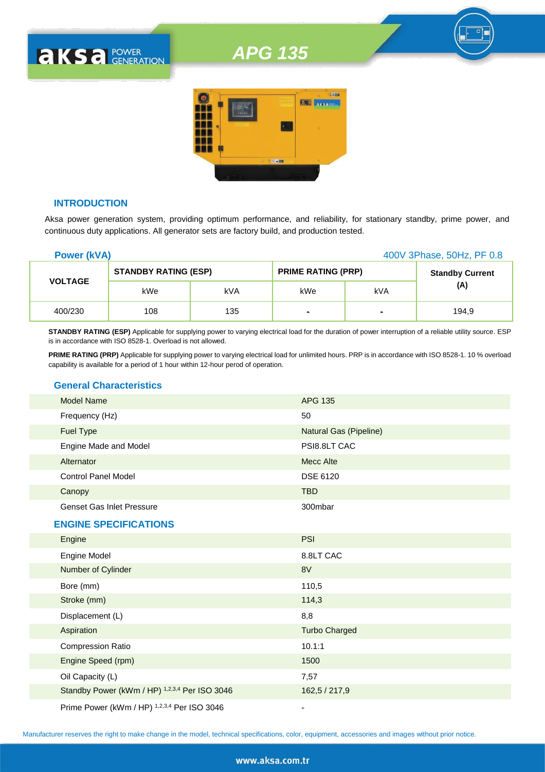# *APG 135*



#### **INTRODUCTION**

**AKSA POWER** 

Aksa power generation system, providing optimum performance, and reliability, for stationary standby, prime power, and continuous duty applications. All generator sets are factory build, and production tested.

| <b>Power (kVA)</b> |                             |     |                           | 400V 3Phase, 50Hz, PF 0.8 |                        |
|--------------------|-----------------------------|-----|---------------------------|---------------------------|------------------------|
|                    | <b>STANDBY RATING (ESP)</b> |     | <b>PRIME RATING (PRP)</b> |                           | <b>Standby Current</b> |
| <b>VOLTAGE</b>     | kWe                         | kVA | kWe                       | kVA                       | (A)                    |
| 400/230            | 108                         | 135 | $\blacksquare$            | $\blacksquare$            | 194.9                  |

**STANDBY RATING (ESP)** Applicable for supplying power to varying electrical load for the duration of power interruption of a reliable utility source. ESP is in accordance with ISO 8528-1. Overload is not allowed.

**PRIME RATING (PRP)** Applicable for supplying power to varying electrical load for unlimited hours. PRP is in accordance with ISO 8528-1. 10 % overload capability is available for a period of 1 hour within 12-hour perod of operation.

## **General Characteristics**

| <b>Model Name</b>                | <b>APG 135</b>         |
|----------------------------------|------------------------|
| Frequency (Hz)                   | 50                     |
| <b>Fuel Type</b>                 | Natural Gas (Pipeline) |
| Engine Made and Model            | PSI8.8LT CAC           |
| Alternator                       | Mecc Alte              |
| <b>Control Panel Model</b>       | <b>DSE 6120</b>        |
| Canopy                           | <b>TBD</b>             |
| <b>Genset Gas Inlet Pressure</b> | 300mbar                |
| <b>ENGINE SPECIFICATIONS</b>     |                        |
| Engine                           | <b>PSI</b>             |
| Engine Model                     | 8.8LT CAC              |
| Number of Cylinder               | 8V                     |
| Bore (mm)                        | 110,5                  |
| Stroke (mm)                      | 114,3                  |
| Displacement (L)                 | 8,8                    |
| Aspiration                       | <b>Turbo Charged</b>   |
| <b>Compression Ratio</b>         | 10.1:1                 |

Engine Speed (rpm) 1500 Oil Capacity (L) 7,57

Prime Power (kWm / HP) <sup>1,2,3,4</sup> Per ISO 3046

Standby Power (kWm / HP) <sup>1,2,3,4</sup> Per ISO 3046 162,5 / 217,9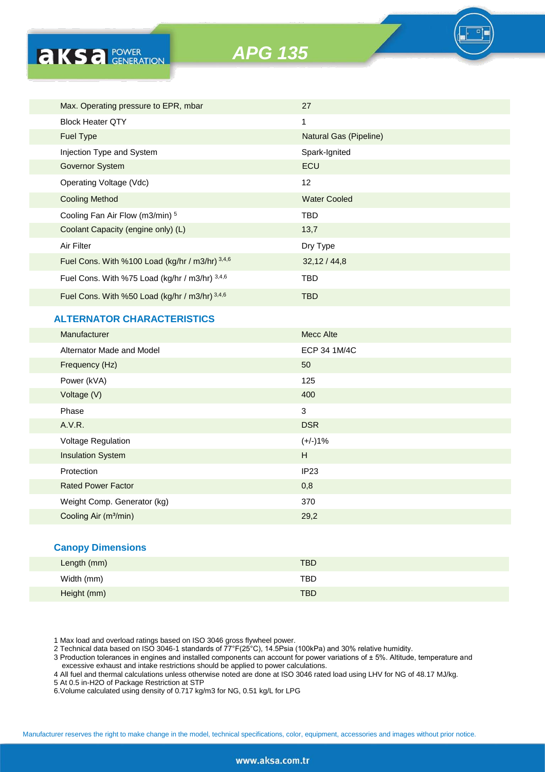| <b>AKS</b> <i>C</i> FOWER                       | <b>APG 135</b> |                        |  |  |
|-------------------------------------------------|----------------|------------------------|--|--|
|                                                 |                |                        |  |  |
|                                                 |                |                        |  |  |
| Max. Operating pressure to EPR, mbar            |                | 27                     |  |  |
| <b>Block Heater QTY</b>                         |                | 1                      |  |  |
| <b>Fuel Type</b>                                |                | Natural Gas (Pipeline) |  |  |
| Injection Type and System                       |                | Spark-Ignited          |  |  |
| <b>Governor System</b>                          |                | <b>ECU</b>             |  |  |
| Operating Voltage (Vdc)                         |                | 12                     |  |  |
| <b>Cooling Method</b>                           |                | <b>Water Cooled</b>    |  |  |
| Cooling Fan Air Flow (m3/min) 5                 |                | <b>TBD</b>             |  |  |
| Coolant Capacity (engine only) (L)              |                | 13,7                   |  |  |
| Air Filter                                      |                | Dry Type               |  |  |
| Fuel Cons. With %100 Load (kg/hr / m3/hr) 3,4,6 |                | 32,12/44,8             |  |  |
| Fuel Cons. With %75 Load (kg/hr / m3/hr) 3,4,6  |                | <b>TBD</b>             |  |  |
| Fuel Cons. With %50 Load (kg/hr / m3/hr) 3,4,6  |                | <b>TBD</b>             |  |  |

## **ALTERNATOR CHARACTERISTICS**

| <b>Manufacturer</b>               | <b>Mecc Alte</b> |
|-----------------------------------|------------------|
| Alternator Made and Model         | ECP 34 1M/4C     |
| Frequency (Hz)                    | 50               |
| Power (kVA)                       | 125              |
| Voltage (V)                       | 400              |
| Phase                             | 3                |
| A.V.R.                            | <b>DSR</b>       |
| Voltage Regulation                | $(+/-)1%$        |
| <b>Insulation System</b>          | H                |
| Protection                        | IP23             |
| <b>Rated Power Factor</b>         | 0,8              |
| Weight Comp. Generator (kg)       | 370              |
| Cooling Air (m <sup>3</sup> /min) | 29,2             |
|                                   |                  |

#### **Canopy Dimensions**

| Length (mm) | <b>TBD</b> |
|-------------|------------|
| Width (mm)  | TBD        |
| Height (mm) | <b>TBD</b> |

1 Max load and overload ratings based on ISO 3046 gross flywheel power.

2 Technical data based on ISO 3046-1 standards of 77°F(25°C), 14.5Psia (100kPa) and 30% relative humidity.

3 Production tolerances in engines and installed components can account for power variations of ± 5%. Altitude, temperature and excessive exhaust and intake restrictions should be applied to power calculations.

4 All fuel and thermal calculations unless otherwise noted are done at ISO 3046 rated load using LHV for NG of 48.17 MJ/kg.

5 At 0.5 in-H2O of Package Restriction at STP

6.Volume calculated using density of 0.717 kg/m3 for NG, 0.51 kg/L for LPG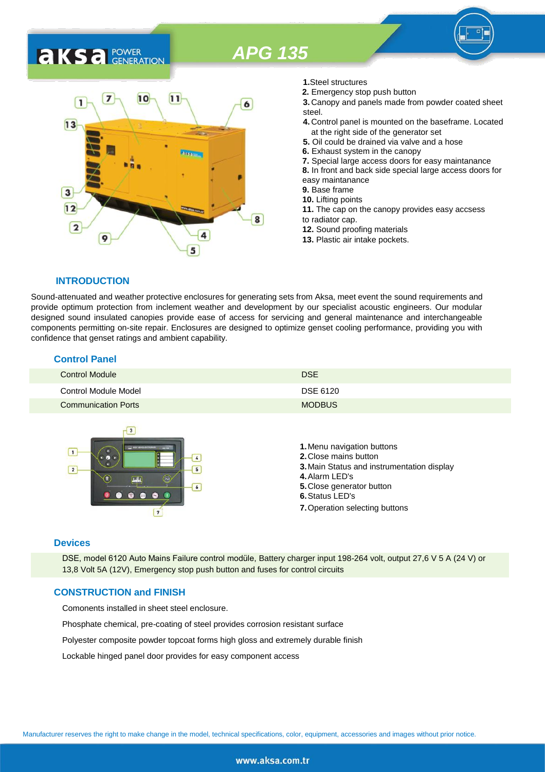# *APG 135*

# **AKS** *C C <b>C GENERATION*



- **1.**Steel structures
- **2.** Emergency stop push button
- **3.** Canopy and panels made from powder coated sheet steel.
- **4.** Control panel is mounted on the baseframe. Located at the right side of the generator set
- **5.** Oil could be drained via valve and a hose
- **6.** Exhaust system in the canopy
- **7.** Special large access doors for easy maintanance
- **8.** In front and back side special large access doors for
- easy maintanance
- **9.** Base frame
- **10.** Lifting points
- **11.** The cap on the canopy provides easy accsess to radiator cap.
- **12.** Sound proofing materials
- **13.** Plastic air intake pockets.

### **INTRODUCTION**

Sound-attenuated and weather protective enclosures for generating sets from Aksa, meet event the sound requirements and provide optimum protection from inclement weather and development by our specialist acoustic engineers. Our modular designed sound insulated canopies provide ease of access for servicing and general maintenance and interchangeable components permitting on-site repair. Enclosures are designed to optimize genset cooling performance, providing you with confidence that genset ratings and ambient capability.

### **Control Panel**

| <b>Control Module</b>      | <b>DSE</b>    |
|----------------------------|---------------|
| Control Module Model       | DSE 6120      |
| <b>Communication Ports</b> | <b>MODBUS</b> |



#### **Devices**

DSE, model 6120 Auto Mains Failure control modüle, Battery charger input 198-264 volt, output 27,6 V 5 A (24 V) or 13,8 Volt 5A (12V), Emergency stop push button and fuses for control circuits

#### **CONSTRUCTION and FINISH**

Comonents installed in sheet steel enclosure.

Phosphate chemical, pre-coating of steel provides corrosion resistant surface

Polyester composite powder topcoat forms high gloss and extremely durable finish

Lockable hinged panel door provides for easy component access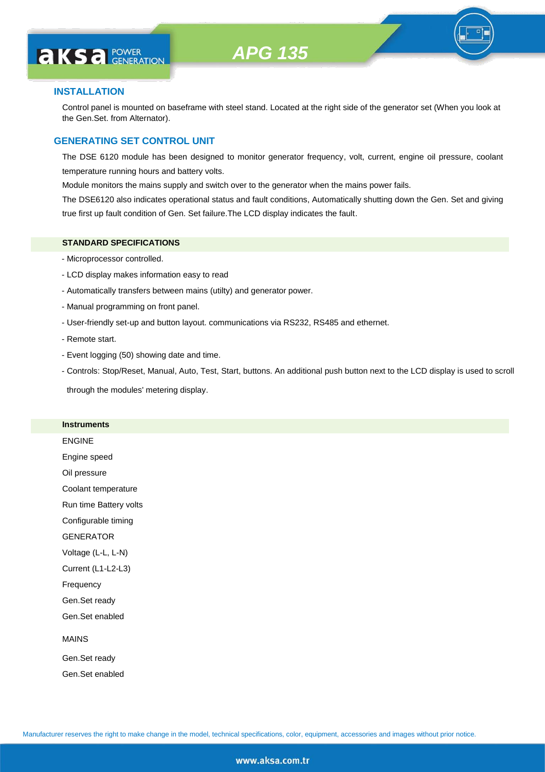# **AKS** *C GENERATION*

## **INSTALLATION**

Control panel is mounted on baseframe with steel stand. Located at the right side of the generator set (When you look at the Gen.Set. from Alternator).

### **GENERATING SET CONTROL UNIT**

The DSE 6120 module has been designed to monitor generator frequency, volt, current, engine oil pressure, coolant temperature running hours and battery volts.

Module monitors the mains supply and switch over to the generator when the mains power fails.

The DSE6120 also indicates operational status and fault conditions, Automatically shutting down the Gen. Set and giving true first up fault condition of Gen. Set failure.The LCD display indicates the fault.

#### **STANDARD SPECIFICATIONS**

- Microprocessor controlled.
- LCD display makes information easy to read
- Automatically transfers between mains (utilty) and generator power.
- Manual programming on front panel.
- User-friendly set-up and button layout. communications via RS232, RS485 and ethernet.
- Remote start.
- Event logging (50) showing date and time.
- Controls: Stop/Reset, Manual, Auto, Test, Start, buttons. An additional push button next to the LCD display is used to scroll

through the modules' metering display.

#### **Instruments**

ENGINE Engine speed Oil pressure Coolant temperature Run time Battery volts Configurable timing **GENERATOR** Voltage (L-L, L-N) Current (L1-L2-L3) Frequency Gen.Set ready Gen.Set enabled MAINS Gen.Set ready

Gen.Set enabled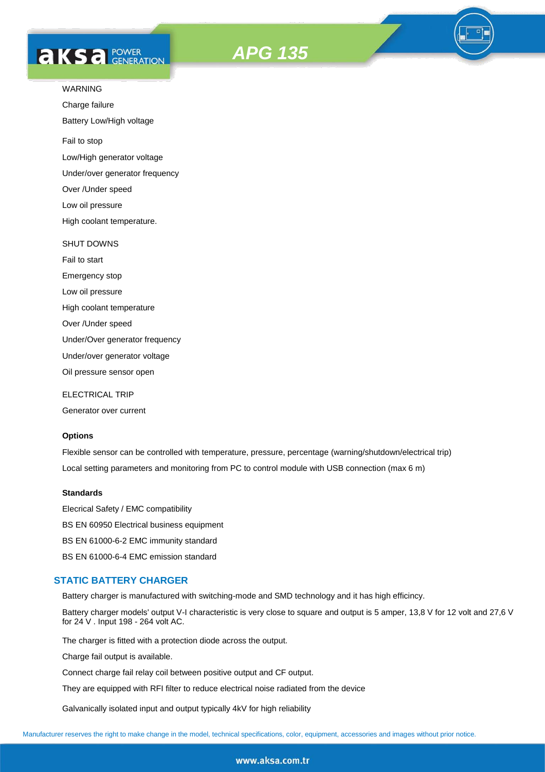



Charge failure

Battery Low/High voltage

Fail to stop

Low/High generator voltage

Under/over generator frequency

Over /Under speed

Low oil pressure

High coolant temperature.

#### SHUT DOWNS

Fail to start Emergency stop Low oil pressure High coolant temperature Over /Under speed Under/Over generator frequency Under/over generator voltage

Oil pressure sensor open

ELECTRICAL TRIP

Generator over current

#### **Options**

Flexible sensor can be controlled with temperature, pressure, percentage (warning/shutdown/electrical trip) Local setting parameters and monitoring from PC to control module with USB connection (max 6 m)

#### **Standards**

Elecrical Safety / EMC compatibility BS EN 60950 Electrical business equipment BS EN 61000-6-2 EMC immunity standard BS EN 61000-6-4 EMC emission standard

## **STATIC BATTERY CHARGER**

Battery charger is manufactured with switching-mode and SMD technology and it has high efficincy.

Battery charger models' output V-I characteristic is very close to square and output is 5 amper, 13,8 V for 12 volt and 27,6 V for 24 V . Input 198 - 264 volt AC.

The charger is fitted with a protection diode across the output.

Charge fail output is available.

Connect charge fail relay coil between positive output and CF output.

They are equipped with RFI filter to reduce electrical noise radiated from the device

Galvanically isolated input and output typically 4kV for high reliability